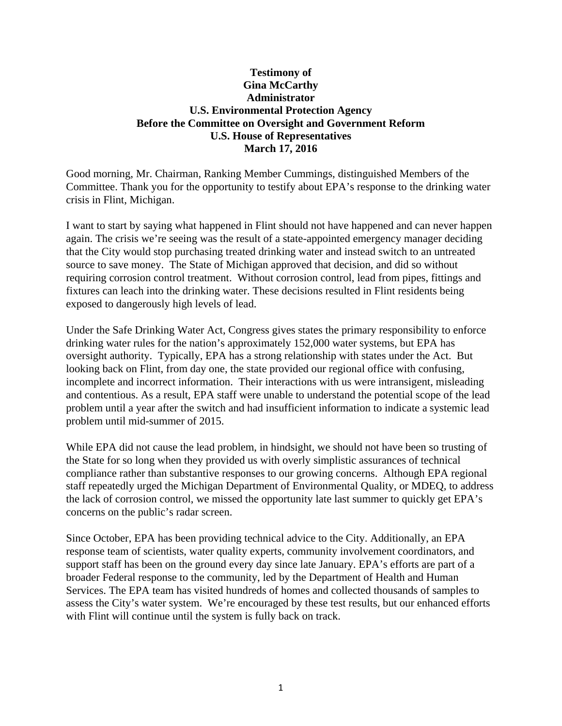## **Testimony of Gina McCarthy Administrator U.S. Environmental Protection Agency Before the Committee on Oversight and Government Reform U.S. House of Representatives March 17, 2016**

Good morning, Mr. Chairman, Ranking Member Cummings, distinguished Members of the Committee. Thank you for the opportunity to testify about EPA's response to the drinking water crisis in Flint, Michigan.

I want to start by saying what happened in Flint should not have happened and can never happen again. The crisis we're seeing was the result of a state-appointed emergency manager deciding that the City would stop purchasing treated drinking water and instead switch to an untreated source to save money. The State of Michigan approved that decision, and did so without requiring corrosion control treatment. Without corrosion control, lead from pipes, fittings and fixtures can leach into the drinking water. These decisions resulted in Flint residents being exposed to dangerously high levels of lead.

Under the Safe Drinking Water Act, Congress gives states the primary responsibility to enforce drinking water rules for the nation's approximately 152,000 water systems, but EPA has oversight authority. Typically, EPA has a strong relationship with states under the Act. But looking back on Flint, from day one, the state provided our regional office with confusing, incomplete and incorrect information. Their interactions with us were intransigent, misleading and contentious. As a result, EPA staff were unable to understand the potential scope of the lead problem until a year after the switch and had insufficient information to indicate a systemic lead problem until mid-summer of 2015.

While EPA did not cause the lead problem, in hindsight, we should not have been so trusting of the State for so long when they provided us with overly simplistic assurances of technical compliance rather than substantive responses to our growing concerns. Although EPA regional staff repeatedly urged the Michigan Department of Environmental Quality, or MDEQ, to address the lack of corrosion control, we missed the opportunity late last summer to quickly get EPA's concerns on the public's radar screen.

Since October, EPA has been providing technical advice to the City. Additionally, an EPA response team of scientists, water quality experts, community involvement coordinators, and support staff has been on the ground every day since late January. EPA's efforts are part of a broader Federal response to the community, led by the Department of Health and Human Services. The EPA team has visited hundreds of homes and collected thousands of samples to assess the City's water system. We're encouraged by these test results, but our enhanced efforts with Flint will continue until the system is fully back on track.